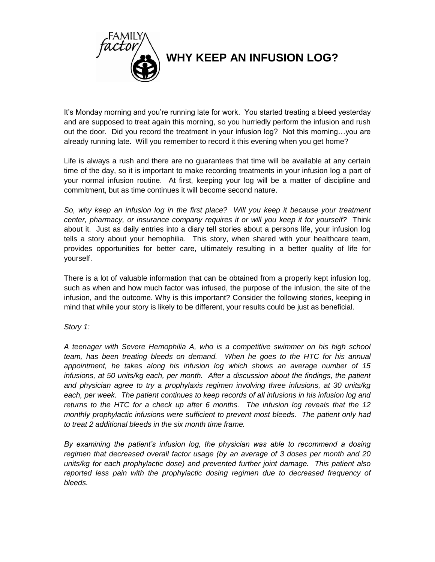

It's Monday morning and you're running late for work. You started treating a bleed yesterday and are supposed to treat again this morning, so you hurriedly perform the infusion and rush out the door. Did you record the treatment in your infusion log? Not this morning…you are already running late. Will you remember to record it this evening when you get home?

Life is always a rush and there are no guarantees that time will be available at any certain time of the day, so it is important to make recording treatments in your infusion log a part of your normal infusion routine. At first, keeping your log will be a matter of discipline and commitment, but as time continues it will become second nature.

*So, why keep an infusion log in the first place? Will you keep it because your treatment center, pharmacy, or insurance company requires it or will you keep it for yourself?* Think about it. Just as daily entries into a diary tell stories about a persons life, your infusion log tells a story about your hemophilia. This story, when shared with your healthcare team, provides opportunities for better care, ultimately resulting in a better quality of life for yourself.

There is a lot of valuable information that can be obtained from a properly kept infusion log, such as when and how much factor was infused, the purpose of the infusion, the site of the infusion, and the outcome. Why is this important? Consider the following stories, keeping in mind that while your story is likely to be different, your results could be just as beneficial.

## *Story 1:*

*A teenager with Severe Hemophilia A, who is a competitive swimmer on his high school team, has been treating bleeds on demand. When he goes to the HTC for his annual appointment, he takes along his infusion log which shows an average number of 15 infusions, at 50 units/kg each, per month. After a discussion about the findings, the patient and physician agree to try a prophylaxis regimen involving three infusions, at 30 units/kg each, per week. The patient continues to keep records of all infusions in his infusion log and returns to the HTC for a check up after 6 months. The infusion log reveals that the 12 monthly prophylactic infusions were sufficient to prevent most bleeds. The patient only had to treat 2 additional bleeds in the six month time frame.* 

*By examining the patient's infusion log, the physician was able to recommend a dosing regimen that decreased overall factor usage (by an average of 3 doses per month and 20 units/kg for each prophylactic dose) and prevented further joint damage. This patient also reported less pain with the prophylactic dosing regimen due to decreased frequency of bleeds.*